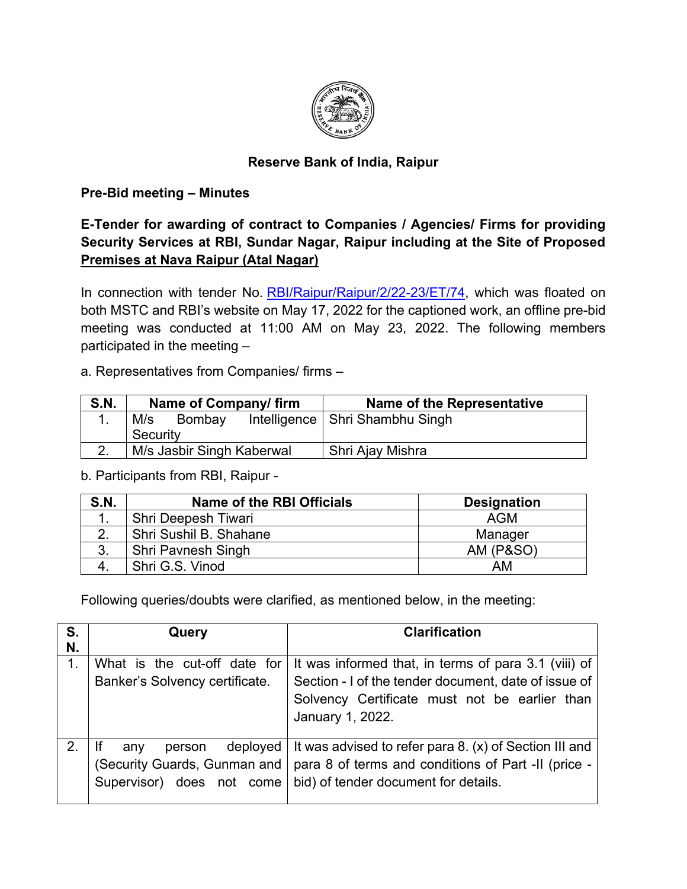

## **Reserve Bank of India, Raipur**

## **Pre-Bid meeting – Minutes**

**E-Tender for awarding of contract to Companies / Agencies/ Firms for providing Security Services at RBI, Sundar Nagar, Raipur including at the Site of Proposed Premises at Nava Raipur (Atal Nagar)**

In connection with tender No. [RBI/Raipur/Raipur/2/22-23/ET/74,](https://www.rbi.org.in/Scripts/BS_ViewTenders.aspx?Id=6504) which was floated on both MSTC and RBI's website on May 17, 2022 for the captioned work, an offline pre-bid meeting was conducted at 11:00 AM on May 23, 2022. The following members participated in the meeting –

## a. Representatives from Companies/ firms –

| <b>S.N.</b> | Name of Company/firm      |               |  | Name of the Representative        |
|-------------|---------------------------|---------------|--|-----------------------------------|
| ι.          | M/s                       | <b>Bombay</b> |  | Intelligence   Shri Shambhu Singh |
|             | Security                  |               |  |                                   |
|             | M/s Jasbir Singh Kaberwal |               |  | Shri Ajay Mishra                  |

b. Participants from RBI, Raipur -

| S.N. | Name of the RBI Officials | <b>Designation</b>   |
|------|---------------------------|----------------------|
|      | Shri Deepesh Tiwari       | <b>AGM</b>           |
|      | Shri Sushil B. Shahane    | Manager              |
|      | Shri Pavnesh Singh        | <b>AM (P&amp;SO)</b> |
|      | Shri G.S. Vinod           | AM                   |

Following queries/doubts were clarified, as mentioned below, in the meeting:

| S. | Query                          | <b>Clarification</b>                                   |
|----|--------------------------------|--------------------------------------------------------|
| N. |                                |                                                        |
|    | What is the cut-off date for   | It was informed that, in terms of para 3.1 (viii) of   |
|    | Banker's Solvency certificate. | Section - I of the tender document, date of issue of   |
|    |                                | Solvency Certificate must not be earlier than          |
|    |                                | January 1, 2022.                                       |
|    |                                |                                                        |
|    | deployed<br>person<br>anv      | It was advised to refer para 8. (x) of Section III and |
|    | (Security Guards, Gunman and   | para 8 of terms and conditions of Part -II (price -    |
|    | Supervisor) does not come      | bid) of tender document for details.                   |
|    |                                |                                                        |